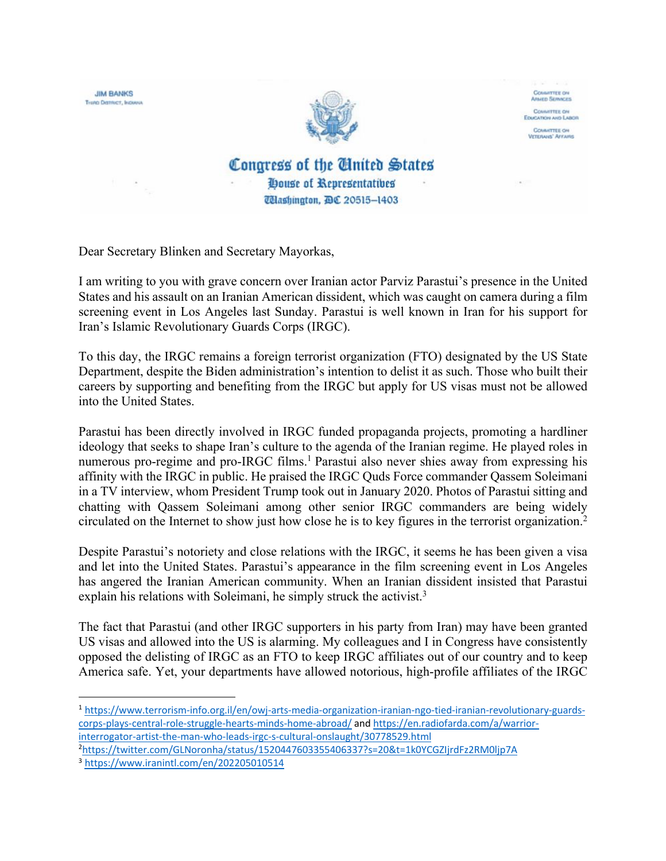

Dear Secretary Blinken and Secretary Mayorkas,

I am writing to you with grave concern over Iranian actor Parviz Parastui's presence in the United States and his assault on an Iranian American dissident, which was caught on camera during a film screening event in Los Angeles last Sunday. Parastui is well known in Iran for his support for Iran's Islamic Revolutionary Guards Corps (IRGC).

To this day, the IRGC remains a foreign terrorist organization (FTO) designated by the US State Department, despite the Biden administration's intention to delist it as such. Those who built their careers by supporting and benefiting from the IRGC but apply for US visas must not be allowed into the United States.

Parastui has been directly involved in IRGC funded propaganda projects, promoting a hardliner ideology that seeks to shape Iran's culture to the agenda of the Iranian regime. He played roles in numerous pro-regime and pro-IRGC films.<sup>1</sup> Parastui also never shies away from expressing his affinity with the IRGC in public. He praised the IRGC Quds Force commander Qassem Soleimani in a TV interview, whom President Trump took out in January 2020. Photos of Parastui sitting and chatting with Qassem Soleimani among other senior IRGC commanders are being widely circulated on the Internet to show just how close he is to key figures in the terrorist organization.2

Despite Parastui's notoriety and close relations with the IRGC, it seems he has been given a visa and let into the United States. Parastui's appearance in the film screening event in Los Angeles has angered the Iranian American community. When an Iranian dissident insisted that Parastui explain his relations with Soleimani, he simply struck the activist.<sup>3</sup>

The fact that Parastui (and other IRGC supporters in his party from Iran) may have been granted US visas and allowed into the US is alarming. My colleagues and I in Congress have consistently opposed the delisting of IRGC as an FTO to keep IRGC affiliates out of our country and to keep America safe. Yet, your departments have allowed notorious, high-profile affiliates of the IRGC

<sup>1</sup> https://www.terrorism-info.org.il/en/owj-arts-media-organization-iranian-ngo-tied-iranian-revolutionary-guardscorps-plays-central-role-struggle-hearts-minds-home-abroad/ and https://en.radiofarda.com/a/warriorinterrogator-artist-the-man-who-leads-irgc-s-cultural-onslaught/30778529.html

<sup>2</sup> https://twitter.com/GLNoronha/status/1520447603355406337?s=20&t=1k0YCGZIjrdFz2RM0ljp7A

<sup>3</sup> https://www.iranintl.com/en/202205010514